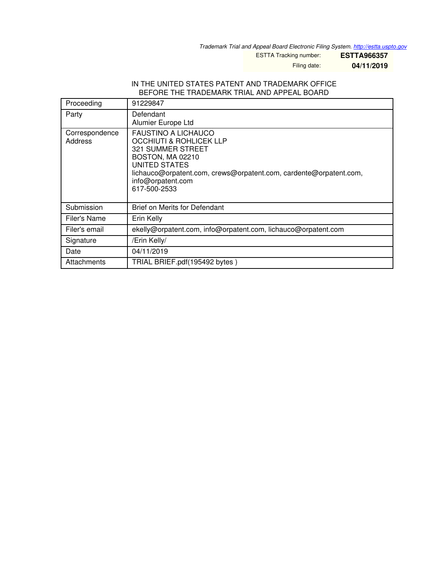*Trademark Trial and Appeal Board Electronic Filing System. <http://estta.uspto.gov>*

ESTTA Tracking number: **ESTTA966357**

Filing date: **04/11/2019**

#### IN THE UNITED STATES PATENT AND TRADEMARK OFFICE BEFORE THE TRADEMARK TRIAL AND APPEAL BOARD

| Proceeding                | 91229847                                                                                                                                                                                                                                    |
|---------------------------|---------------------------------------------------------------------------------------------------------------------------------------------------------------------------------------------------------------------------------------------|
| Party                     | Defendant<br>Alumier Europe Ltd                                                                                                                                                                                                             |
| Correspondence<br>Address | <b>FAUSTINO A LICHAUCO</b><br><b>OCCHIUTI &amp; ROHLICEK LLP</b><br><b>321 SUMMER STREET</b><br>BOSTON, MA 02210<br>UNITED STATES<br>lichauco@orpatent.com, crews@orpatent.com, cardente@orpatent.com,<br>info@orpatent.com<br>617-500-2533 |
| Submission                | <b>Brief on Merits for Defendant</b>                                                                                                                                                                                                        |
| Filer's Name              | Erin Kelly                                                                                                                                                                                                                                  |
| Filer's email             | ekelly@orpatent.com, info@orpatent.com, lichauco@orpatent.com                                                                                                                                                                               |
| Signature                 | /Erin Kelly/                                                                                                                                                                                                                                |
| Date                      | 04/11/2019                                                                                                                                                                                                                                  |
| Attachments               | TRIAL BRIEF.pdf(195492 bytes)                                                                                                                                                                                                               |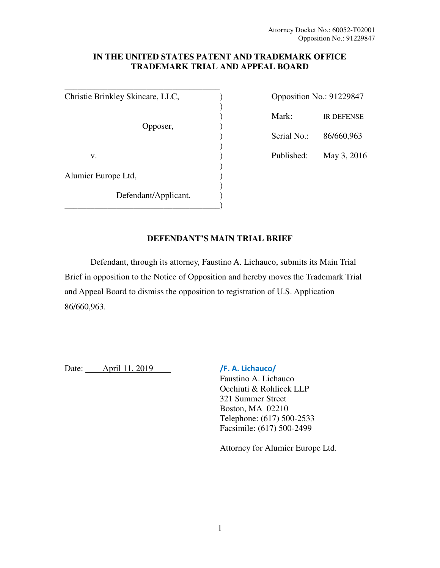## **IN THE UNITED STATES PATENT AND TRADEMARK OFFICE TRADEMARK TRIAL AND APPEAL BOARD**

**\_\_\_\_\_\_\_\_\_\_\_\_\_\_\_\_\_\_\_\_\_\_\_\_\_\_\_\_\_\_\_\_\_\_\_\_** Christie Brinkley Skincare, LLC,  $\qquad \qquad$  )  $)$  ) Mark: IR DEFENSE Opposer, (b) ) Serial No.: 86/660,963  $)$ v. (a)  $\mu$  Published: May 3, 2016  $)$ Alumier Europe Ltd, )  $)$ Defendant/Applicant. \_\_\_\_\_\_\_\_\_\_\_\_\_\_\_\_\_\_\_\_\_\_\_\_\_\_\_\_\_\_\_\_\_\_\_\_)

| Opposition No.: 91229847 |                   |
|--------------------------|-------------------|
| Mark:                    | <b>IR DEFENSE</b> |
| Serial No.:              | 86/660,963        |
| Published:               | May 3, 2016       |
|                          |                   |

## **DEFENDANT'S MAIN TRIAL BRIEF**

Defendant, through its attorney, Faustino A. Lichauco, submits its Main Trial Brief in opposition to the Notice of Opposition and hereby moves the Trademark Trial and Appeal Board to dismiss the opposition to registration of U.S. Application 86/660,963.

Date: April 11, 2019 /F. A. Lichauco/

 Faustino A. Lichauco Occhiuti & Rohlicek LLP 321 Summer Street Boston, MA 02210 Telephone: (617) 500-2533 Facsimile: (617) 500-2499

Attorney for Alumier Europe Ltd.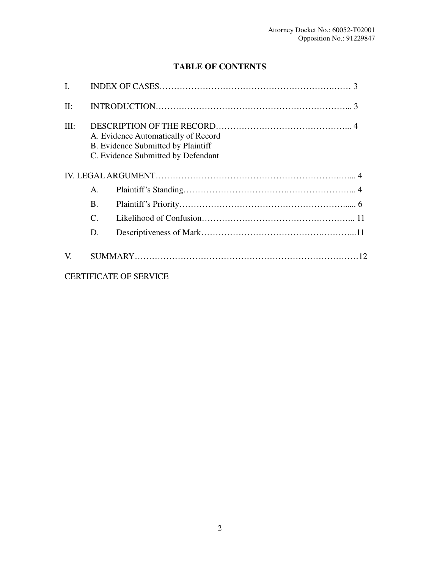# **TABLE OF CONTENTS**

| L       |                                                                                                                 |                               |  |
|---------|-----------------------------------------------------------------------------------------------------------------|-------------------------------|--|
| $\Pi$ : |                                                                                                                 |                               |  |
| III:    | A. Evidence Automatically of Record<br>B. Evidence Submitted by Plaintiff<br>C. Evidence Submitted by Defendant |                               |  |
|         |                                                                                                                 |                               |  |
|         | A.                                                                                                              |                               |  |
|         | $\mathbf{B}$ .                                                                                                  |                               |  |
|         | C.                                                                                                              |                               |  |
|         | D.                                                                                                              |                               |  |
| V.      |                                                                                                                 |                               |  |
|         |                                                                                                                 | <b>CERTIFICATE OF SERVICE</b> |  |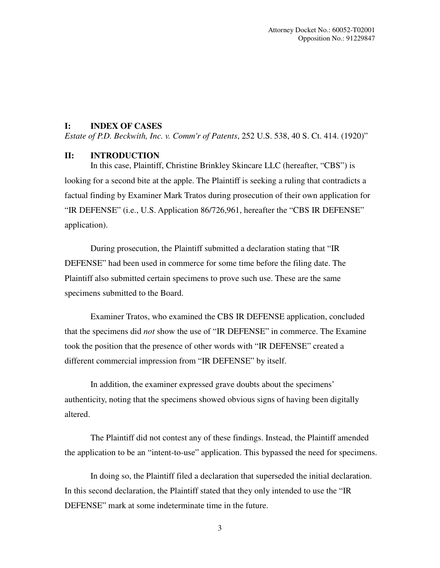## **I: INDEX OF CASES**

*Estate of P.D. Beckwith, Inc. v. Comm'r of Patents*, 252 U.S. 538, 40 S. Ct. 414. (1920)"

#### **II: INTRODUCTION**

In this case, Plaintiff, Christine Brinkley Skincare LLC (hereafter, "CBS") is looking for a second bite at the apple. The Plaintiff is seeking a ruling that contradicts a factual finding by Examiner Mark Tratos during prosecution of their own application for "IR DEFENSE" (i.e., U.S. Application 86/726,961, hereafter the "CBS IR DEFENSE" application).

During prosecution, the Plaintiff submitted a declaration stating that "IR DEFENSE" had been used in commerce for some time before the filing date. The Plaintiff also submitted certain specimens to prove such use. These are the same specimens submitted to the Board.

Examiner Tratos, who examined the CBS IR DEFENSE application, concluded that the specimens did *not* show the use of "IR DEFENSE" in commerce. The Examine took the position that the presence of other words with "IR DEFENSE" created a different commercial impression from "IR DEFENSE" by itself.

In addition, the examiner expressed grave doubts about the specimens' authenticity, noting that the specimens showed obvious signs of having been digitally altered.

The Plaintiff did not contest any of these findings. Instead, the Plaintiff amended the application to be an "intent-to-use" application. This bypassed the need for specimens.

In doing so, the Plaintiff filed a declaration that superseded the initial declaration. In this second declaration, the Plaintiff stated that they only intended to use the "IR DEFENSE" mark at some indeterminate time in the future.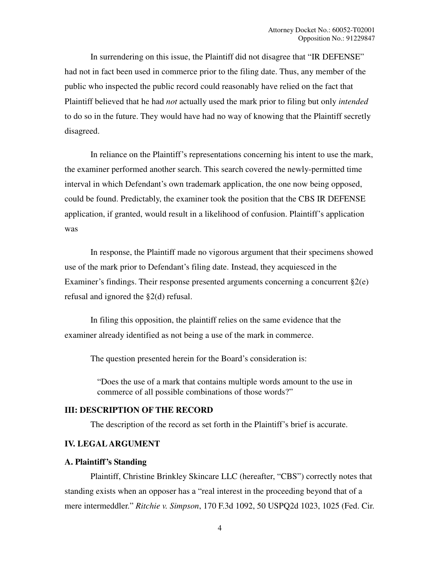In surrendering on this issue, the Plaintiff did not disagree that "IR DEFENSE" had not in fact been used in commerce prior to the filing date. Thus, any member of the public who inspected the public record could reasonably have relied on the fact that Plaintiff believed that he had *not* actually used the mark prior to filing but only *intended* to do so in the future. They would have had no way of knowing that the Plaintiff secretly disagreed.

In reliance on the Plaintiff's representations concerning his intent to use the mark, the examiner performed another search. This search covered the newly-permitted time interval in which Defendant's own trademark application, the one now being opposed, could be found. Predictably, the examiner took the position that the CBS IR DEFENSE application, if granted, would result in a likelihood of confusion. Plaintiff's application was

In response, the Plaintiff made no vigorous argument that their specimens showed use of the mark prior to Defendant's filing date. Instead, they acquiesced in the Examiner's findings. Their response presented arguments concerning a concurrent  $\S2(e)$ refusal and ignored the §2(d) refusal.

In filing this opposition, the plaintiff relies on the same evidence that the examiner already identified as not being a use of the mark in commerce.

The question presented herein for the Board's consideration is:

"Does the use of a mark that contains multiple words amount to the use in commerce of all possible combinations of those words?"

## **III: DESCRIPTION OF THE RECORD**

The description of the record as set forth in the Plaintiff's brief is accurate.

### **IV. LEGAL ARGUMENT**

#### **A. Plaintiff's Standing**

Plaintiff, Christine Brinkley Skincare LLC (hereafter, "CBS") correctly notes that standing exists when an opposer has a "real interest in the proceeding beyond that of a mere intermeddler." *Ritchie v. Simpson*, 170 F.3d 1092, 50 USPQ2d 1023, 1025 (Fed. Cir.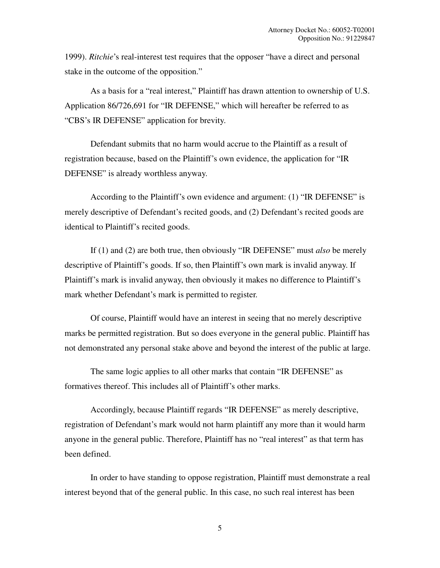1999). *Ritchie*'s real-interest test requires that the opposer "have a direct and personal stake in the outcome of the opposition."

As a basis for a "real interest," Plaintiff has drawn attention to ownership of U.S. Application 86/726,691 for "IR DEFENSE," which will hereafter be referred to as "CBS's IR DEFENSE" application for brevity.

Defendant submits that no harm would accrue to the Plaintiff as a result of registration because, based on the Plaintiff's own evidence, the application for "IR DEFENSE" is already worthless anyway.

According to the Plaintiff's own evidence and argument: (1) "IR DEFENSE" is merely descriptive of Defendant's recited goods, and (2) Defendant's recited goods are identical to Plaintiff's recited goods.

If (1) and (2) are both true, then obviously "IR DEFENSE" must *also* be merely descriptive of Plaintiff's goods. If so, then Plaintiff's own mark is invalid anyway. If Plaintiff's mark is invalid anyway, then obviously it makes no difference to Plaintiff's mark whether Defendant's mark is permitted to register.

Of course, Plaintiff would have an interest in seeing that no merely descriptive marks be permitted registration. But so does everyone in the general public. Plaintiff has not demonstrated any personal stake above and beyond the interest of the public at large.

The same logic applies to all other marks that contain "IR DEFENSE" as formatives thereof. This includes all of Plaintiff's other marks.

Accordingly, because Plaintiff regards "IR DEFENSE" as merely descriptive, registration of Defendant's mark would not harm plaintiff any more than it would harm anyone in the general public. Therefore, Plaintiff has no "real interest" as that term has been defined.

In order to have standing to oppose registration, Plaintiff must demonstrate a real interest beyond that of the general public. In this case, no such real interest has been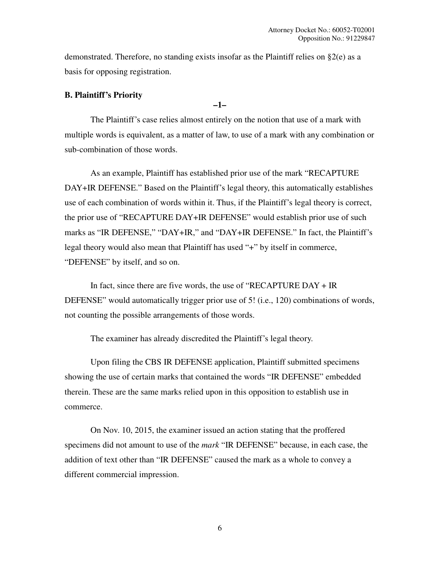demonstrated. Therefore, no standing exists insofar as the Plaintiff relies on §2(e) as a basis for opposing registration.

#### **B. Plaintiff's Priority**

**–1–** 

The Plaintiff's case relies almost entirely on the notion that use of a mark with multiple words is equivalent, as a matter of law, to use of a mark with any combination or sub-combination of those words.

As an example, Plaintiff has established prior use of the mark "RECAPTURE DAY+IR DEFENSE." Based on the Plaintiff's legal theory, this automatically establishes use of each combination of words within it. Thus, if the Plaintiff's legal theory is correct, the prior use of "RECAPTURE DAY+IR DEFENSE" would establish prior use of such marks as "IR DEFENSE," "DAY+IR," and "DAY+IR DEFENSE." In fact, the Plaintiff's legal theory would also mean that Plaintiff has used "+" by itself in commerce, "DEFENSE" by itself, and so on.

In fact, since there are five words, the use of "RECAPTURE DAY + IR DEFENSE" would automatically trigger prior use of 5! (i.e., 120) combinations of words, not counting the possible arrangements of those words.

The examiner has already discredited the Plaintiff's legal theory.

Upon filing the CBS IR DEFENSE application, Plaintiff submitted specimens showing the use of certain marks that contained the words "IR DEFENSE" embedded therein. These are the same marks relied upon in this opposition to establish use in commerce.

On Nov. 10, 2015, the examiner issued an action stating that the proffered specimens did not amount to use of the *mark* "IR DEFENSE" because, in each case, the addition of text other than "IR DEFENSE" caused the mark as a whole to convey a different commercial impression.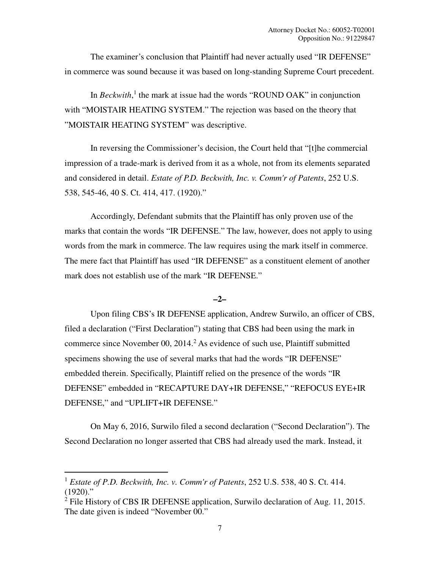The examiner's conclusion that Plaintiff had never actually used "IR DEFENSE" in commerce was sound because it was based on long-standing Supreme Court precedent.

In  $\text{Beckwith}$ ,<sup>1</sup> the mark at issue had the words "ROUND OAK" in conjunction with "MOISTAIR HEATING SYSTEM." The rejection was based on the theory that "MOISTAIR HEATING SYSTEM" was descriptive.

In reversing the Commissioner's decision, the Court held that "[t]he commercial impression of a trade-mark is derived from it as a whole, not from its elements separated and considered in detail. *Estate of P.D. Beckwith, Inc. v. Comm'r of Patents*, 252 U.S. 538, 545-46, 40 S. Ct. 414, 417. (1920)."

Accordingly, Defendant submits that the Plaintiff has only proven use of the marks that contain the words "IR DEFENSE." The law, however, does not apply to using words from the mark in commerce. The law requires using the mark itself in commerce. The mere fact that Plaintiff has used "IR DEFENSE" as a constituent element of another mark does not establish use of the mark "IR DEFENSE."

## **–2–**

Upon filing CBS's IR DEFENSE application, Andrew Surwilo, an officer of CBS, filed a declaration ("First Declaration") stating that CBS had been using the mark in commerce since November  $00$ ,  $2014<sup>2</sup>$  As evidence of such use, Plaintiff submitted specimens showing the use of several marks that had the words "IR DEFENSE" embedded therein. Specifically, Plaintiff relied on the presence of the words "IR DEFENSE" embedded in "RECAPTURE DAY+IR DEFENSE," "REFOCUS EYE+IR DEFENSE," and "UPLIFT+IR DEFENSE."

On May 6, 2016, Surwilo filed a second declaration ("Second Declaration"). The Second Declaration no longer asserted that CBS had already used the mark. Instead, it

 $\overline{\phantom{0}}$ 

<sup>1</sup> *Estate of P.D. Beckwith, Inc. v. Comm'r of Patents*, 252 U.S. 538, 40 S. Ct. 414.  $(1920)$ ."

<sup>&</sup>lt;sup>2</sup> File History of CBS IR DEFENSE application, Surwilo declaration of Aug. 11, 2015. The date given is indeed "November 00."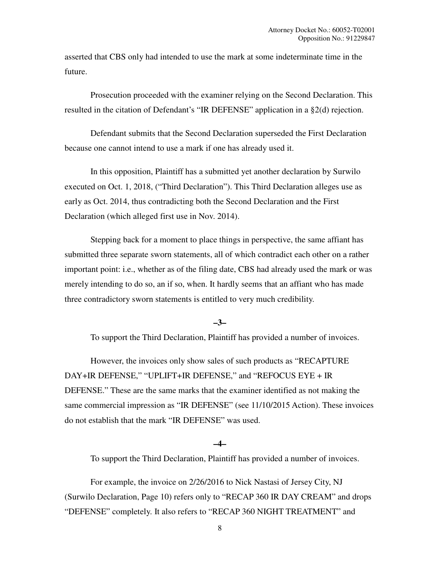asserted that CBS only had intended to use the mark at some indeterminate time in the future.

Prosecution proceeded with the examiner relying on the Second Declaration. This resulted in the citation of Defendant's "IR DEFENSE" application in a §2(d) rejection.

Defendant submits that the Second Declaration superseded the First Declaration because one cannot intend to use a mark if one has already used it.

In this opposition, Plaintiff has a submitted yet another declaration by Surwilo executed on Oct. 1, 2018, ("Third Declaration"). This Third Declaration alleges use as early as Oct. 2014, thus contradicting both the Second Declaration and the First Declaration (which alleged first use in Nov. 2014).

Stepping back for a moment to place things in perspective, the same affiant has submitted three separate sworn statements, all of which contradict each other on a rather important point: i.e., whether as of the filing date, CBS had already used the mark or was merely intending to do so, an if so, when. It hardly seems that an affiant who has made three contradictory sworn statements is entitled to very much credibility.

#### **–3–**

To support the Third Declaration, Plaintiff has provided a number of invoices.

However, the invoices only show sales of such products as "RECAPTURE DAY+IR DEFENSE," "UPLIFT+IR DEFENSE," and "REFOCUS EYE + IR DEFENSE." These are the same marks that the examiner identified as not making the same commercial impression as "IR DEFENSE" (see 11/10/2015 Action). These invoices do not establish that the mark "IR DEFENSE" was used.

#### **–4–**

To support the Third Declaration, Plaintiff has provided a number of invoices.

For example, the invoice on 2/26/2016 to Nick Nastasi of Jersey City, NJ (Surwilo Declaration, Page 10) refers only to "RECAP 360 IR DAY CREAM" and drops "DEFENSE" completely. It also refers to "RECAP 360 NIGHT TREATMENT" and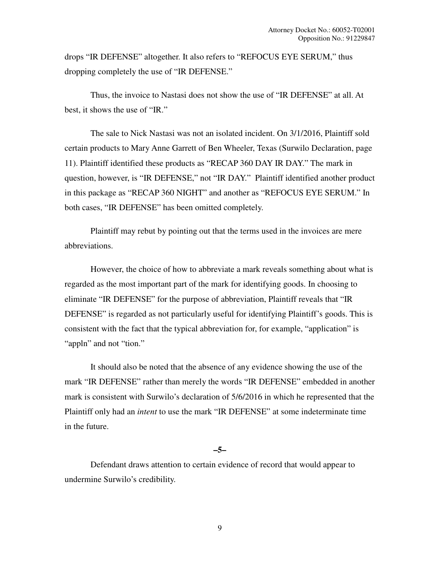drops "IR DEFENSE" altogether. It also refers to "REFOCUS EYE SERUM," thus dropping completely the use of "IR DEFENSE."

Thus, the invoice to Nastasi does not show the use of "IR DEFENSE" at all. At best, it shows the use of "IR."

The sale to Nick Nastasi was not an isolated incident. On 3/1/2016, Plaintiff sold certain products to Mary Anne Garrett of Ben Wheeler, Texas (Surwilo Declaration, page 11). Plaintiff identified these products as "RECAP 360 DAY IR DAY." The mark in question, however, is "IR DEFENSE," not "IR DAY." Plaintiff identified another product in this package as "RECAP 360 NIGHT" and another as "REFOCUS EYE SERUM." In both cases, "IR DEFENSE" has been omitted completely.

Plaintiff may rebut by pointing out that the terms used in the invoices are mere abbreviations.

However, the choice of how to abbreviate a mark reveals something about what is regarded as the most important part of the mark for identifying goods. In choosing to eliminate "IR DEFENSE" for the purpose of abbreviation, Plaintiff reveals that "IR DEFENSE" is regarded as not particularly useful for identifying Plaintiff's goods. This is consistent with the fact that the typical abbreviation for, for example, "application" is "appln" and not "tion."

It should also be noted that the absence of any evidence showing the use of the mark "IR DEFENSE" rather than merely the words "IR DEFENSE" embedded in another mark is consistent with Surwilo's declaration of 5/6/2016 in which he represented that the Plaintiff only had an *intent* to use the mark "IR DEFENSE" at some indeterminate time in the future.

#### **–5–**

Defendant draws attention to certain evidence of record that would appear to undermine Surwilo's credibility.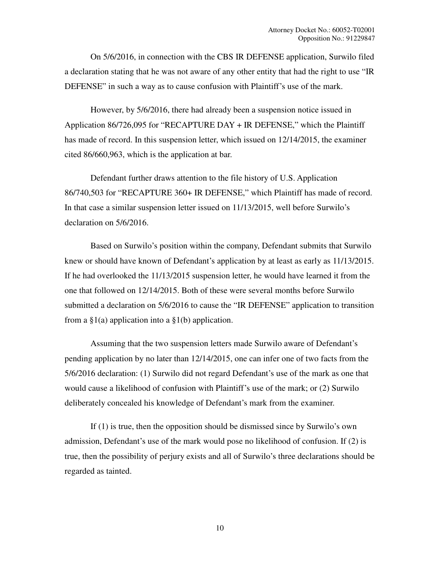On 5/6/2016, in connection with the CBS IR DEFENSE application, Surwilo filed a declaration stating that he was not aware of any other entity that had the right to use "IR DEFENSE" in such a way as to cause confusion with Plaintiff's use of the mark.

However, by 5/6/2016, there had already been a suspension notice issued in Application 86/726,095 for "RECAPTURE DAY + IR DEFENSE," which the Plaintiff has made of record. In this suspension letter, which issued on 12/14/2015, the examiner cited 86/660,963, which is the application at bar.

Defendant further draws attention to the file history of U.S. Application 86/740,503 for "RECAPTURE 360+ IR DEFENSE," which Plaintiff has made of record. In that case a similar suspension letter issued on 11/13/2015, well before Surwilo's declaration on 5/6/2016.

Based on Surwilo's position within the company, Defendant submits that Surwilo knew or should have known of Defendant's application by at least as early as 11/13/2015. If he had overlooked the 11/13/2015 suspension letter, he would have learned it from the one that followed on 12/14/2015. Both of these were several months before Surwilo submitted a declaration on 5/6/2016 to cause the "IR DEFENSE" application to transition from a  $\S1(a)$  application into a  $\S1(b)$  application.

Assuming that the two suspension letters made Surwilo aware of Defendant's pending application by no later than 12/14/2015, one can infer one of two facts from the 5/6/2016 declaration: (1) Surwilo did not regard Defendant's use of the mark as one that would cause a likelihood of confusion with Plaintiff's use of the mark; or (2) Surwilo deliberately concealed his knowledge of Defendant's mark from the examiner.

If (1) is true, then the opposition should be dismissed since by Surwilo's own admission, Defendant's use of the mark would pose no likelihood of confusion. If (2) is true, then the possibility of perjury exists and all of Surwilo's three declarations should be regarded as tainted.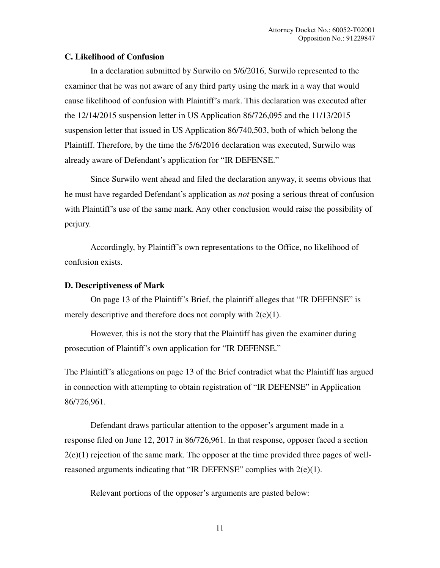## **C. Likelihood of Confusion**

In a declaration submitted by Surwilo on 5/6/2016, Surwilo represented to the examiner that he was not aware of any third party using the mark in a way that would cause likelihood of confusion with Plaintiff's mark. This declaration was executed after the 12/14/2015 suspension letter in US Application 86/726,095 and the 11/13/2015 suspension letter that issued in US Application 86/740,503, both of which belong the Plaintiff. Therefore, by the time the 5/6/2016 declaration was executed, Surwilo was already aware of Defendant's application for "IR DEFENSE."

Since Surwilo went ahead and filed the declaration anyway, it seems obvious that he must have regarded Defendant's application as *not* posing a serious threat of confusion with Plaintiff's use of the same mark. Any other conclusion would raise the possibility of perjury.

Accordingly, by Plaintiff's own representations to the Office, no likelihood of confusion exists.

## **D. Descriptiveness of Mark**

On page 13 of the Plaintiff's Brief, the plaintiff alleges that "IR DEFENSE" is merely descriptive and therefore does not comply with  $2(e)(1)$ .

However, this is not the story that the Plaintiff has given the examiner during prosecution of Plaintiff's own application for "IR DEFENSE."

The Plaintiff's allegations on page 13 of the Brief contradict what the Plaintiff has argued in connection with attempting to obtain registration of "IR DEFENSE" in Application 86/726,961.

Defendant draws particular attention to the opposer's argument made in a response filed on June 12, 2017 in 86/726,961. In that response, opposer faced a section  $2(e)(1)$  rejection of the same mark. The opposer at the time provided three pages of wellreasoned arguments indicating that "IR DEFENSE" complies with 2(e)(1).

Relevant portions of the opposer's arguments are pasted below: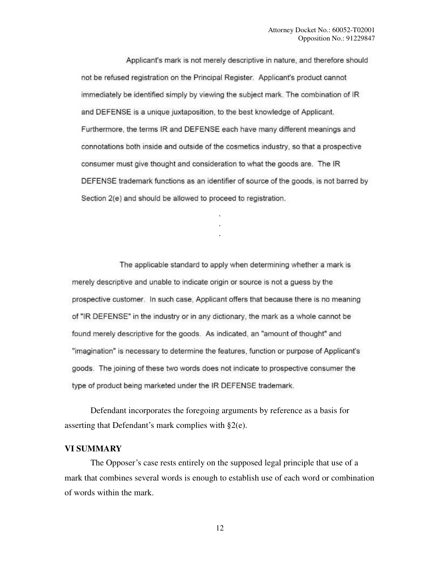Applicant's mark is not merely descriptive in nature, and therefore should not be refused registration on the Principal Register. Applicant's product cannot immediately be identified simply by viewing the subject mark. The combination of IR and DEFENSE is a unique juxtaposition, to the best knowledge of Applicant. Furthermore, the terms IR and DEFENSE each have many different meanings and connotations both inside and outside of the cosmetics industry, so that a prospective consumer must give thought and consideration to what the goods are. The IR DEFENSE trademark functions as an identifier of source of the goods, is not barred by Section 2(e) and should be allowed to proceed to registration.

> . . .

The applicable standard to apply when determining whether a mark is merely descriptive and unable to indicate origin or source is not a guess by the prospective customer. In such case, Applicant offers that because there is no meaning of "IR DEFENSE" in the industry or in any dictionary, the mark as a whole cannot be found merely descriptive for the goods. As indicated, an "amount of thought" and "imagination" is necessary to determine the features, function or purpose of Applicant's goods. The joining of these two words does not indicate to prospective consumer the type of product being marketed under the IR DEFENSE trademark.

Defendant incorporates the foregoing arguments by reference as a basis for asserting that Defendant's mark complies with §2(e).

#### **VI SUMMARY**

The Opposer's case rests entirely on the supposed legal principle that use of a mark that combines several words is enough to establish use of each word or combination of words within the mark.